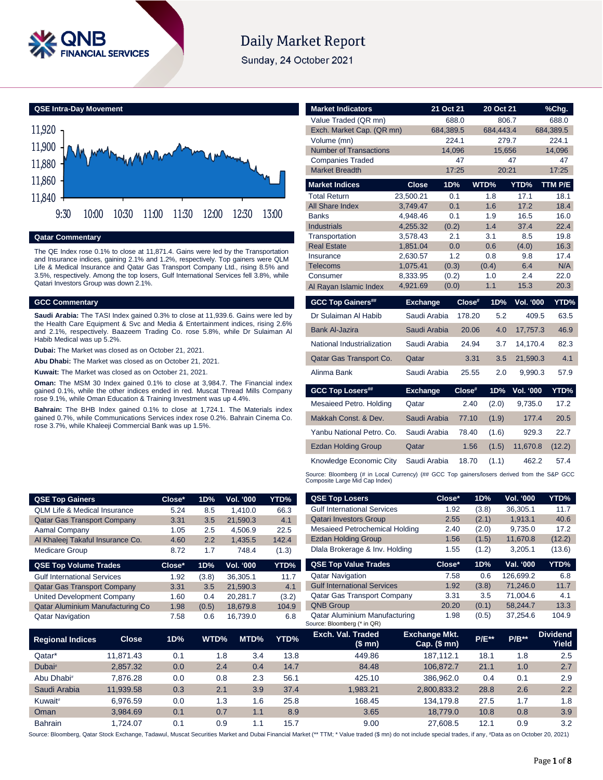

# **Daily Market Report**

Sunday, 24 October 2021

**QSE Intra-Day Movement** 11,840 11,860 11,880 11,900 11,920 9:30 10:00 10:30 11:00 11:30 12:00 12:30 13:00

# **Qatar Commentary**

The QE Index rose 0.1% to close at 11,871.4. Gains were led by the Transportation and Insurance indices, gaining 2.1% and 1.2%, respectively. Top gainers were QLM Life & Medical Insurance and Qatar Gas Transport Company Ltd., rising 8.5% and 3.5%, respectively. Among the top losers, Gulf International Services fell 3.8%, while Qatari Investors Group was down 2.1%.

# **GCC Commentary**

**Saudi Arabia:** The TASI Index gained 0.3% to close at 11,939.6. Gains were led by the Health Care Equipment & Svc and Media & Entertainment indices, rising 2.6% and 2.1%, respectively. Baazeem Trading Co. rose 5.8%, while Dr Sulaiman Al Habib Medical was up 5.2%.

**Dubai:** The Market was closed as on October 21, 2021.

**Abu Dhabi:** The Market was closed as on October 21, 2021.

**Kuwait:** The Market was closed as on October 21, 2021.

**Oman:** The MSM 30 Index gained 0.1% to close at 3,984.7. The Financial index gained 0.1%, while the other indices ended in red. Muscat Thread Mills Company rose 9.1%, while Oman Education & Training Investment was up 4.4%.

**Bahrain:** The BHB Index gained 0.1% to close at 1,724.1. The Materials index gained 0.7%, while Communications Services index rose 0.2%. Bahrain Cinema Co. rose 3.7%, while Khaleeji Commercial Bank was up 1.5%.

**QSE Top Gainers Close\* 1D% Vol. '000 YTD%**

| <b>Market Indicators</b>      |                      | 21 Oct 21 |        | 20 Oct 21    |                  | %Chg.       |
|-------------------------------|----------------------|-----------|--------|--------------|------------------|-------------|
| Value Traded (QR mn)          |                      |           | 688.0  | 806.7        |                  | 688.0       |
| Exch. Market Cap. (QR mn)     |                      | 684,389.5 |        | 684,443.4    |                  | 684,389.5   |
| Volume (mn)                   |                      |           | 224.1  | 279.7        |                  | 224.1       |
| <b>Number of Transactions</b> |                      |           | 14,096 | 15,656       |                  | 14,096      |
| <b>Companies Traded</b>       |                      |           | 47     |              | 47               | 47          |
| <b>Market Breadth</b>         |                      |           | 17:25  | 20:21        |                  | 17:25       |
| <b>Market Indices</b>         | <b>Close</b>         | 1D%       |        | WTD%         | YTD%             | TTM P/E     |
| <b>Total Return</b>           | 23,500.21            |           | 0.1    | 1.8          | 17.1             | 18.1        |
| All Share Index               | 3.749.47             |           | 0.1    | 1.6          | 17.2             | 18.4        |
| <b>Banks</b>                  | 4,948.46             |           | 0.1    | 1.9          | 16.5             | 16.0        |
| <b>Industrials</b>            | 4,255.32             | (0.2)     |        | 1.4          | 37.4             | 22.4        |
| Transportation                | 3,578.43             |           | 2.1    | 3.1          | 8.5              | 19.8        |
| <b>Real Estate</b>            | 1,851.04             |           | 0.0    | 0.6          | (4.0)            | 16.3        |
| Insurance<br>Telecoms         | 2,630.57<br>1,075.41 | (0.3)     | 1.2    | 0.8<br>(0.4) | 9.8<br>6.4       | 17.4<br>N/A |
| Consumer                      | 8,333.95             | (0.2)     |        | 1.0          | 2.4              | 22.0        |
| Al Rayan Islamic Index        | 4,921.69             | (0.0)     |        | 1.1          | 15.3             | 20.3        |
|                               |                      |           |        |              |                  |             |
| <b>GCC Top Gainers##</b>      | <b>Exchange</b>      |           | Close# | 1D%          | <b>Vol. '000</b> | YTD%        |
| Dr Sulaiman Al Habib          | Saudi Arabia         |           | 178.20 | 5.2          | 409.5            | 63.5        |
| <b>Bank Al-Jazira</b>         | Saudi Arabia         |           | 20.06  | 4.0          | 17,757.3         | 46.9        |
| National Industrialization    | Saudi Arabia         |           | 24.94  | 3.7          | 14.170.4         | 82.3        |
| Qatar Gas Transport Co.       | Qatar                |           | 3.31   | 3.5          | 21,590.3         | 4.1         |
| Alinma Bank                   | Saudi Arabia         |           | 25.55  | 2.0          | 9,990.3          | 57.9        |
| <b>GCC Top Losers##</b>       | <b>Exchange</b>      |           | Close# | 1D%          | <b>Vol. '000</b> | YTD%        |
| Mesaieed Petro. Holding       | Qatar                |           | 2.40   | (2.0)        | 9,735.0          | 17.2        |
| Makkah Const, & Dev.          | Saudi Arabia         |           | 77.10  | (1.9)        | 177.4            | 20.5        |
| Yanbu National Petro, Co.     | Saudi Arabia         |           | 78.40  | (1.6)        | 929.3            | 22.7        |
| <b>Ezdan Holding Group</b>    | Qatar                |           | 1.56   | (1.5)        | 11,670.8         | (12.2)      |
| Knowledge Economic City       |                      |           |        |              |                  |             |

Source: Bloomberg (# in Local Currency) (## GCC Top gainers/losers derived from the S&P GCC Composite Large Mid Cap Index) **QSE Top Losers Close\* 1D% Vol. '000 YTD%**

| <b>QLM Life &amp; Medical Insurance</b> |                                    | 5.24   | 8.5   | 1.410.0   | 66.3  | <b>Gulf International Services</b>                               |
|-----------------------------------------|------------------------------------|--------|-------|-----------|-------|------------------------------------------------------------------|
|                                         | <b>Qatar Gas Transport Company</b> |        | 3.5   | 21.590.3  | 4.1   | <b>Qatari Investors Group</b>                                    |
| Aamal Company                           |                                    | 1.05   | 2.5   | 4,506.9   | 22.5  | Mesaieed Petrochemical Ho                                        |
| Al Khaleej Takaful Insurance Co.        |                                    | 4.60   | 2.2   | 1.435.5   | 142.4 | <b>Ezdan Holding Group</b>                                       |
| <b>Medicare Group</b>                   |                                    | 8.72   | 1.7   | 748.4     | (1.3) | Dlala Brokerage & Inv. Holdi                                     |
| <b>QSE Top Volume Trades</b>            |                                    | Close* | 1D%   | Vol. '000 | YTD%  | <b>QSE Top Value Trades</b>                                      |
| <b>Gulf International Services</b>      |                                    | 1.92   | (3.8) | 36.305.1  | 11.7  | <b>Qatar Navigation</b>                                          |
| <b>Qatar Gas Transport Company</b>      |                                    | 3.31   | 3.5   | 21,590.3  | 4.1   | <b>Gulf International Services</b>                               |
| United Development Company              |                                    | 1.60   | 0.4   | 20,281.7  | (3.2) | <b>Qatar Gas Transport Compa</b>                                 |
| Qatar Aluminium Manufacturing Co        |                                    | 1.98   | (0.5) | 18.679.8  | 104.9 | <b>QNB Group</b>                                                 |
| <b>Qatar Navigation</b>                 |                                    | 7.58   | 0.6   | 16,739.0  | 6.8   | <b>Oatar Aluminium Manufactul</b><br>Source: Bloomberg (* in QR) |
| <b>Regional Indices</b>                 | <b>Close</b>                       | 1D%    | WTD%  | MTD%      | YTD%  | Exch. Val. Traded<br>$(S \text{ mn})$                            |
| Qatar*                                  | 11,871.43                          | 0.1    | 1.8   | 3.4       | 13.8  | 449.86                                                           |
| Dubai#                                  | 2.857.32                           | 0.0    | 2.4   | 0.4       | 14.7  | 84.48                                                            |

| <b>Gulf International Services</b>                           | 1.92                                   | (3.8)        | 36.305.1     | 11.7                     |
|--------------------------------------------------------------|----------------------------------------|--------------|--------------|--------------------------|
| <b>Qatari Investors Group</b>                                | 2.55                                   | (2.1)        | 1.913.1      | 40.6                     |
| Mesaieed Petrochemical Holding                               | 2.40                                   | (2.0)        | 9.735.0      | 17.2                     |
| <b>Ezdan Holding Group</b>                                   | 1.56                                   | (1.5)        | 11,670.8     | (12.2)                   |
| Dlala Brokerage & Inv. Holding                               | 1.55                                   | (1.2)        | 3,205.1      | (13.6)                   |
| <b>QSE Top Value Trades</b>                                  | Close*                                 | 1D%          | Val. '000    | YTD%                     |
| <b>Qatar Navigation</b>                                      | 7.58                                   | 0.6          | 126.699.2    | 6.8                      |
| <b>Gulf International Services</b>                           | 1.92                                   | (3.8)        | 71,246.0     | 11.7                     |
| Qatar Gas Transport Company                                  | 3.31                                   | 3.5          | 71.004.6     | 4.1                      |
| <b>QNB Group</b>                                             | 20.20                                  | (0.1)        | 58.244.7     | 13.3                     |
| Qatar Aluminium Manufacturing<br>Source: Bloomberg (* in QR) | 1.98                                   | (0.5)        | 37.254.6     | 104.9                    |
| Exch. Val. Traded<br>(\$ mn)                                 | <b>Exchange Mkt.</b><br>$Cap.$ (\$ mn) | <b>P/E**</b> | <b>P/B**</b> | <b>Dividend</b><br>Yield |

| $\cdots$ g. $\cdots$   |           |     |     |     |      | (\$ mn)  | Cap. (\$ mn) |      |     | Yield |
|------------------------|-----------|-----|-----|-----|------|----------|--------------|------|-----|-------|
| Qatar*                 | 11.871.43 | 0.1 | 1.8 | 3.4 | 13.8 | 449.86   | 187.112.1    | 18.1 | 8.، | 2.5   |
| Dubai <sup>#</sup>     | 2.857.32  | 0.0 | 2.4 | 0.4 | 14.7 | 84.48    | 106.872.7    | 21.1 | 1.0 | 2.7   |
| Abu Dhabi <sup>#</sup> | 7.876.28  | 0.0 | 0.8 | 2.3 | 56.1 | 425.10   | 386.962.0    | 0.4  | 0.1 | 2.9   |
| Saudi Arabia           | 11.939.58 | 0.3 | 2.1 | 3.9 | 37.4 | 1.983.21 | 2.800.833.2  | 28.8 | 2.6 | 2.2   |
| Kuwait <sup>#</sup>    | 6.976.59  | 0.0 | 1.3 | 6.، | 25.8 | 168.45   | 134.179.8    | 27.5 | 1.7 | 1.8   |
| Oman                   | 3.984.69  | 0.1 | 0.7 | 1.1 | 8.9  | 3.65     | 18.779.0     | 10.8 | 0.8 | 3.9   |
| <b>Bahrain</b>         | 1.724.07  | 0.1 | 0.9 | 1.1 | 15.7 | 9.00     | 27.608.5     | 12.1 | 0.9 | 3.2   |

Source: Bloomberg, Qatar Stock Exchange, Tadawul, Muscat Securities Market and Dubai Financial Market (\*\* TTM; \* Value traded (\$ mn) do not include special trades, if any, #Data as on October 20, 2021)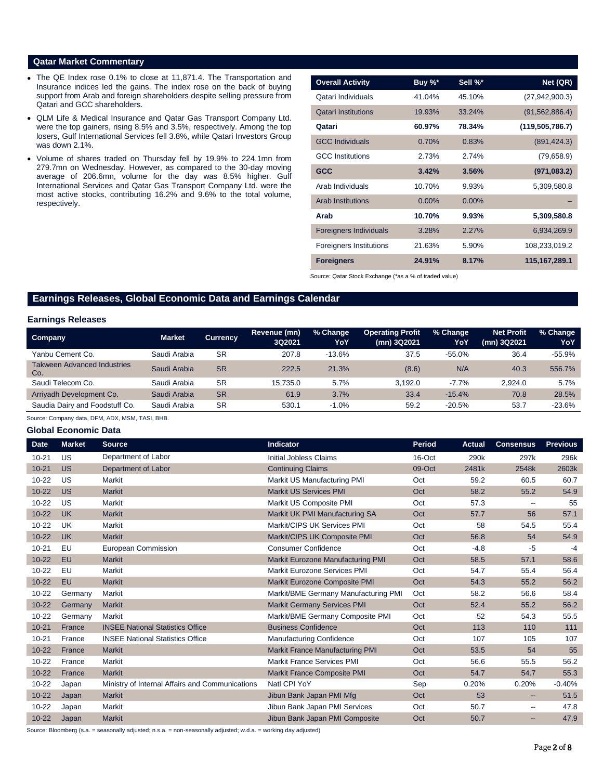## **Qatar Market Commentary**

- The QE Index rose 0.1% to close at 11,871.4. The Transportation and Insurance indices led the gains. The index rose on the back of buying support from Arab and foreign shareholders despite selling pressure from Qatari and GCC shareholders.
- QLM Life & Medical Insurance and Qatar Gas Transport Company Ltd. were the top gainers, rising 8.5% and 3.5%, respectively. Among the top losers, Gulf International Services fell 3.8%, while Qatari Investors Group was down 2.1%.
- Volume of shares traded on Thursday fell by 19.9% to 224.1mn from 279.7mn on Wednesday. However, as compared to the 30-day moving average of 206.6mn, volume for the day was 8.5% higher. Gulf International Services and Qatar Gas Transport Company Ltd. were the most active stocks, contributing 16.2% and 9.6% to the total volume, respectively.

| <b>Overall Activity</b>        | Buy %*   | Sell %*  | Net (QR)          |
|--------------------------------|----------|----------|-------------------|
| Qatari Individuals             | 41.04%   | 45.10%   | (27, 942, 900.3)  |
| <b>Qatari Institutions</b>     | 19.93%   | 33.24%   | (91, 562, 886.4)  |
| Qatari                         | 60.97%   | 78.34%   | (119, 505, 786.7) |
| <b>GCC Individuals</b>         | 0.70%    | 0.83%    | (891, 424.3)      |
| <b>GCC</b> Institutions        | 2.73%    | 2.74%    | (79,658.9)        |
| <b>GCC</b>                     | 3.42%    | 3.56%    | (971, 083.2)      |
| Arab Individuals               | 10.70%   | 9.93%    | 5,309,580.8       |
| <b>Arab Institutions</b>       | $0.00\%$ | $0.00\%$ |                   |
| Arab                           | 10.70%   | 9.93%    | 5,309,580.8       |
| <b>Foreigners Individuals</b>  | 3.28%    | $2.27\%$ | 6,934,269.9       |
| <b>Foreigners Institutions</b> | 21.63%   | 5.90%    | 108,233,019.2     |
| <b>Foreigners</b>              | 24.91%   | 8.17%    | 115,167,289.1     |

Source: Qatar Stock Exchange (\*as a % of traded value)

# **Earnings Releases, Global Economic Data and Earnings Calendar**

### **Earnings Releases**

| Company                                   | <b>Market</b> | <b>Currency</b> | Revenue (mn)<br>3Q2021 | % Change<br>YoY | <b>Operating Profit</b><br>(mn) 3Q2021 | % Change<br>YoY | <b>Net Profit</b><br>(mn) 3Q2021 | % Change<br>YoY |
|-------------------------------------------|---------------|-----------------|------------------------|-----------------|----------------------------------------|-----------------|----------------------------------|-----------------|
| Yanbu Cement Co.                          | Saudi Arabia  | <b>SR</b>       | 207.8                  | $-13.6%$        | 37.5                                   | $-55.0\%$       | 36.4                             | $-55.9%$        |
| <b>Takween Advanced Industries</b><br>Co. | Saudi Arabia  | <b>SR</b>       | 222.5                  | 21.3%           | (8.6)                                  | N/A             | 40.3                             | 556.7%          |
| Saudi Telecom Co.                         | Saudi Arabia  | <b>SR</b>       | 15.735.0               | 5.7%            | 3.192.0                                | -7.7%           | 2.924.0                          | 5.7%            |
| Arriyadh Development Co.                  | Saudi Arabia  | <b>SR</b>       | 61.9                   | 3.7%            | 33.4                                   | $-15.4%$        | 70.8                             | 28.5%           |
| Saudia Dairy and Foodstuff Co.            | Saudi Arabia  | <b>SR</b>       | 530.1                  | $-1.0%$         | 59.2                                   | $-20.5%$        | 53.7                             | $-23.6%$        |

Source: Company data, DFM, ADX, MSM, TASI, BHB.

## **Global Economic Data**

| <b>Date</b> | <b>Market</b> | <b>Source</b>                                   | <b>Indicator</b>                       | Period | <b>Actual</b> | <b>Consensus</b> | <b>Previous</b> |
|-------------|---------------|-------------------------------------------------|----------------------------------------|--------|---------------|------------------|-----------------|
| $10 - 21$   | US            | Department of Labor                             | <b>Initial Jobless Claims</b>          | 16-Oct | 290k          | 297k             | 296k            |
| $10 - 21$   | <b>US</b>     | Department of Labor                             | <b>Continuing Claims</b>               | 09-Oct | 2481k         | 2548k            | 2603k           |
| $10 - 22$   | US            | Markit                                          | Markit US Manufacturing PMI            | Oct    | 59.2          | 60.5             | 60.7            |
| $10 - 22$   | <b>US</b>     | <b>Markit</b>                                   | <b>Markit US Services PMI</b>          | Oct    | 58.2          | 55.2             | 54.9            |
| $10 - 22$   | US            | Markit                                          | Markit US Composite PMI                | Oct    | 57.3          | --               | 55              |
| $10 - 22$   | <b>UK</b>     | <b>Markit</b>                                   | Markit UK PMI Manufacturing SA         | Oct    | 57.7          | 56               | 57.1            |
| $10 - 22$   | <b>UK</b>     | Markit                                          | Markit/CIPS UK Services PMI            | Oct    | 58            | 54.5             | 55.4            |
| $10 - 22$   | <b>UK</b>     | <b>Markit</b>                                   | Markit/CIPS UK Composite PMI           | Oct    | 56.8          | 54               | 54.9            |
| $10 - 21$   | EU            | <b>European Commission</b>                      | <b>Consumer Confidence</b>             | Oct    | $-4.8$        | $-5$             | $-4$            |
| $10 - 22$   | EU            | <b>Markit</b>                                   | Markit Eurozone Manufacturing PMI      | Oct    | 58.5          | 57.1             | 58.6            |
| $10 - 22$   | EU            | Markit                                          | <b>Markit Eurozone Services PMI</b>    | Oct    | 54.7          | 55.4             | 56.4            |
| $10 - 22$   | EU            | <b>Markit</b>                                   | Markit Eurozone Composite PMI          | Oct    | 54.3          | 55.2             | 56.2            |
| $10 - 22$   | Germany       | Markit                                          | Markit/BME Germany Manufacturing PMI   | Oct    | 58.2          | 56.6             | 58.4            |
| $10 - 22$   | Germany       | <b>Markit</b>                                   | <b>Markit Germany Services PMI</b>     | Oct    | 52.4          | 55.2             | 56.2            |
| $10 - 22$   | Germany       | <b>Markit</b>                                   | Markit/BME Germany Composite PMI       | Oct    | 52            | 54.3             | 55.5            |
| $10 - 21$   | France        | <b>INSEE National Statistics Office</b>         | <b>Business Confidence</b>             | Oct    | 113           | 110              | 111             |
| $10 - 21$   | France        | <b>INSEE National Statistics Office</b>         | <b>Manufacturing Confidence</b>        | Oct    | 107           | 105              | 107             |
| $10 - 22$   | France        | <b>Markit</b>                                   | <b>Markit France Manufacturing PMI</b> | Oct    | 53.5          | 54               | 55              |
| $10 - 22$   | France        | Markit                                          | <b>Markit France Services PMI</b>      | Oct    | 56.6          | 55.5             | 56.2            |
| $10 - 22$   | France        | <b>Markit</b>                                   | <b>Markit France Composite PMI</b>     | Oct    | 54.7          | 54.7             | 55.3            |
| $10 - 22$   | Japan         | Ministry of Internal Affairs and Communications | Natl CPI YoY                           | Sep    | 0.20%         | 0.20%            | $-0.40%$        |
| $10 - 22$   | Japan         | <b>Markit</b>                                   | Jibun Bank Japan PMI Mfg               | Oct    | 53            | --               | 51.5            |
| $10 - 22$   | Japan         | Markit                                          | Jibun Bank Japan PMI Services          | Oct    | 50.7          | --               | 47.8            |
| $10 - 22$   | Japan         | <b>Markit</b>                                   | Jibun Bank Japan PMI Composite         | Oct    | 50.7          | $- -$            | 47.9            |

Source: Bloomberg (s.a. = seasonally adjusted; n.s.a. = non-seasonally adjusted; w.d.a. = working day adjusted)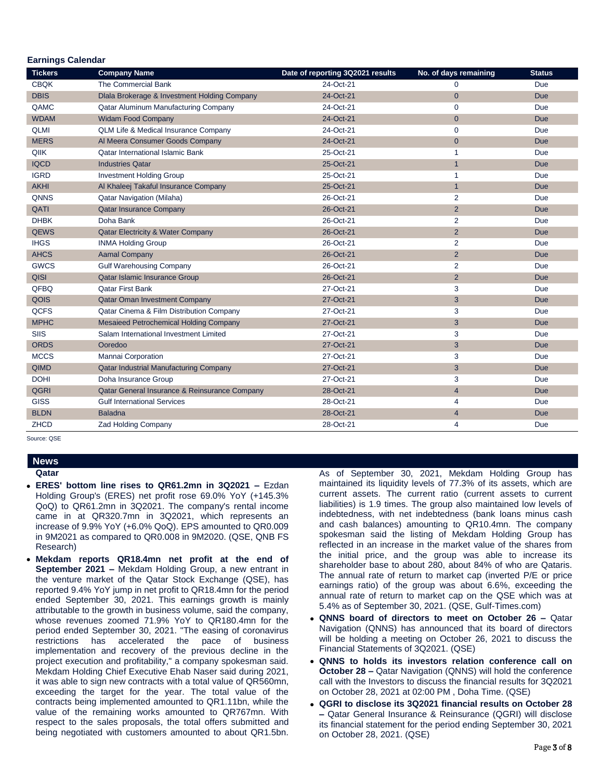## **Earnings Calendar**

| <b>Tickers</b> | <b>Company Name</b>                             | Date of reporting 3Q2021 results | No. of days remaining | <b>Status</b> |
|----------------|-------------------------------------------------|----------------------------------|-----------------------|---------------|
| <b>CBQK</b>    | The Commercial Bank                             | 24-Oct-21                        | $\mathbf 0$           | Due           |
| <b>DBIS</b>    | Dlala Brokerage & Investment Holding Company    | 24-Oct-21                        | $\mathbf{0}$          | <b>Due</b>    |
| QAMC           | Qatar Aluminum Manufacturing Company            | 24-Oct-21                        | $\mathbf 0$           | Due           |
| <b>WDAM</b>    | <b>Widam Food Company</b>                       | 24-Oct-21                        | $\mathbf{0}$          | <b>Due</b>    |
| <b>QLMI</b>    | <b>QLM Life &amp; Medical Insurance Company</b> | 24-Oct-21                        | $\mathbf 0$           | Due           |
| <b>MERS</b>    | Al Meera Consumer Goods Company                 | 24-Oct-21                        | $\mathbf{0}$          | <b>Due</b>    |
| QIIK           | <b>Qatar International Islamic Bank</b>         | 25-Oct-21                        | $\mathbf{1}$          | Due           |
| <b>IQCD</b>    | <b>Industries Qatar</b>                         | 25-Oct-21                        | $\mathbf{1}$          | <b>Due</b>    |
| <b>IGRD</b>    | <b>Investment Holding Group</b>                 | 25-Oct-21                        | $\mathbf{1}$          | Due           |
| <b>AKHI</b>    | Al Khaleej Takaful Insurance Company            | 25-Oct-21                        | $\mathbf{1}$          | <b>Due</b>    |
| <b>QNNS</b>    | <b>Qatar Navigation (Milaha)</b>                | 26-Oct-21                        | 2                     | <b>Due</b>    |
| QATI           | Qatar Insurance Company                         | 26-Oct-21                        | $\overline{2}$        | <b>Due</b>    |
| <b>DHBK</b>    | Doha Bank                                       | 26-Oct-21                        | $\overline{2}$        | Due           |
| <b>QEWS</b>    | <b>Qatar Electricity &amp; Water Company</b>    | 26-Oct-21                        | $\overline{2}$        | <b>Due</b>    |
| <b>IHGS</b>    | <b>INMA Holding Group</b>                       | 26-Oct-21                        | $\overline{2}$        | Due           |
| <b>AHCS</b>    | <b>Aamal Company</b>                            | 26-Oct-21                        | $\overline{2}$        | <b>Due</b>    |
| <b>GWCS</b>    | <b>Gulf Warehousing Company</b>                 | 26-Oct-21                        | $\overline{2}$        | Due           |
| <b>QISI</b>    | Qatar Islamic Insurance Group                   | 26-Oct-21                        | $\overline{2}$        | <b>Due</b>    |
| QFBQ           | <b>Qatar First Bank</b>                         | 27-Oct-21                        | 3                     | Due           |
| QOIS           | <b>Qatar Oman Investment Company</b>            | 27-Oct-21                        | 3                     | <b>Due</b>    |
| <b>QCFS</b>    | Qatar Cinema & Film Distribution Company        | 27-Oct-21                        | 3                     | Due           |
| <b>MPHC</b>    | Mesaieed Petrochemical Holding Company          | 27-Oct-21                        | $\mathbf{3}$          | <b>Due</b>    |
| SIIS           | Salam International Investment Limited          | 27-Oct-21                        | 3                     | Due           |
| <b>ORDS</b>    | Ooredoo                                         | 27-Oct-21                        | 3                     | <b>Due</b>    |
| <b>MCCS</b>    | Mannai Corporation                              | 27-Oct-21                        | 3                     | Due           |
| <b>QIMD</b>    | <b>Qatar Industrial Manufacturing Company</b>   | 27-Oct-21                        | 3                     | <b>Due</b>    |
| <b>DOHI</b>    | Doha Insurance Group                            | 27-Oct-21                        | 3                     | Due           |
| <b>QGRI</b>    | Qatar General Insurance & Reinsurance Company   | 28-Oct-21                        | $\overline{4}$        | <b>Due</b>    |
| <b>GISS</b>    | <b>Gulf International Services</b>              | 28-Oct-21                        | $\overline{4}$        | Due           |
| <b>BLDN</b>    | <b>Baladna</b>                                  | 28-Oct-21                        | $\overline{4}$        | <b>Due</b>    |
| <b>ZHCD</b>    | <b>Zad Holding Company</b>                      | 28-Oct-21                        | 4                     | Due           |

Source: QSE

# **News**

- **Qatar**
- **ERES' bottom line rises to QR61.2mn in 3Q2021 –** Ezdan Holding Group's (ERES) net profit rose 69.0% YoY (+145.3% QoQ) to QR61.2mn in 3Q2021. The company's rental income came in at QR320.7mn in 3Q2021, which represents an increase of 9.9% YoY (+6.0% QoQ). EPS amounted to QR0.009 in 9M2021 as compared to QR0.008 in 9M2020. (QSE, QNB FS Research)
- **Mekdam reports QR18.4mn net profit at the end of September 2021 –** Mekdam Holding Group, a new entrant in the venture market of the Qatar Stock Exchange (QSE), has reported 9.4% YoY jump in net profit to QR18.4mn for the period ended September 30, 2021. This earnings growth is mainly attributable to the growth in business volume, said the company, whose revenues zoomed 71.9% YoY to QR180.4mn for the period ended September 30, 2021. "The easing of coronavirus restrictions has accelerated the pace of business implementation and recovery of the previous decline in the project execution and profitability," a company spokesman said. Mekdam Holding Chief Executive Ehab Naser said during 2021, it was able to sign new contracts with a total value of QR560mn, exceeding the target for the year. The total value of the contracts being implemented amounted to QR1.11bn, while the value of the remaining works amounted to QR767mn. With respect to the sales proposals, the total offers submitted and being negotiated with customers amounted to about QR1.5bn.

As of September 30, 2021, Mekdam Holding Group has maintained its liquidity levels of 77.3% of its assets, which are current assets. The current ratio (current assets to current liabilities) is 1.9 times. The group also maintained low levels of indebtedness, with net indebtedness (bank loans minus cash and cash balances) amounting to QR10.4mn. The company spokesman said the listing of Mekdam Holding Group has reflected in an increase in the market value of the shares from the initial price, and the group was able to increase its shareholder base to about 280, about 84% of who are Qataris. The annual rate of return to market cap (inverted P/E or price earnings ratio) of the group was about 6.6%, exceeding the annual rate of return to market cap on the QSE which was at 5.4% as of September 30, 2021. (QSE, Gulf-Times.com)

- **QNNS board of directors to meet on October 26 –** Qatar Navigation (QNNS) has announced that its board of directors will be holding a meeting on October 26, 2021 to discuss the Financial Statements of 3Q2021. (QSE)
- **QNNS to holds its investors relation conference call on October 28 –** Qatar Navigation (QNNS) will hold the conference call with the Investors to discuss the financial results for 3Q2021 on October 28, 2021 at 02:00 PM , Doha Time. (QSE)
- **QGRI to disclose its 3Q2021 financial results on October 28 –** Qatar General Insurance & Reinsurance (QGRI) will disclose its financial statement for the period ending September 30, 2021 on October 28, 2021. (QSE)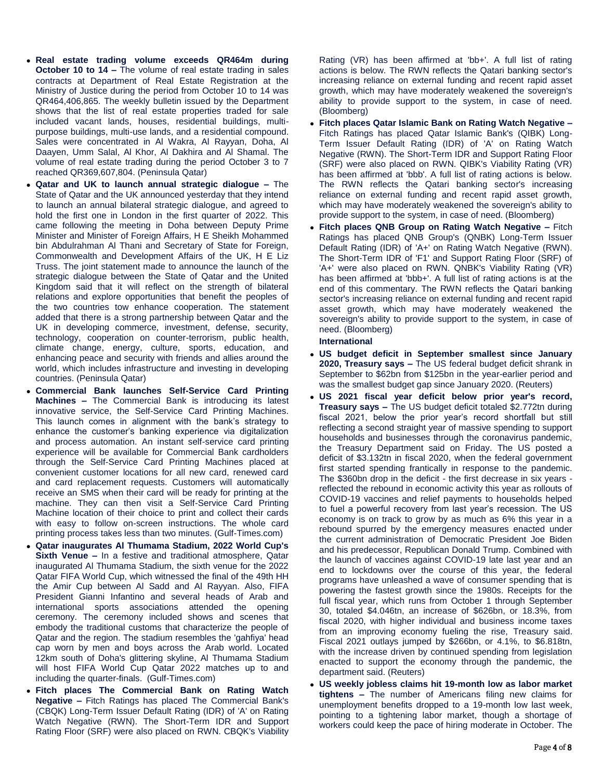- **Real estate trading volume exceeds QR464m during October 10 to 14 –** The volume of real estate trading in sales contracts at Department of Real Estate Registration at the Ministry of Justice during the period from October 10 to 14 was QR464,406,865. The weekly bulletin issued by the Department shows that the list of real estate properties traded for sale included vacant lands, houses, residential buildings, multipurpose buildings, multi-use lands, and a residential compound. Sales were concentrated in Al Wakra, Al Rayyan, Doha, Al Daayen, Umm Salal, Al Khor, Al Dakhira and Al Shamal. The volume of real estate trading during the period October 3 to 7 reached QR369,607,804. (Peninsula Qatar)
- **Qatar and UK to launch annual strategic dialogue –** The State of Qatar and the UK announced yesterday that they intend to launch an annual bilateral strategic dialogue, and agreed to hold the first one in London in the first quarter of 2022. This came following the meeting in Doha between Deputy Prime Minister and Minister of Foreign Affairs, H E Sheikh Mohammed bin Abdulrahman Al Thani and Secretary of State for Foreign, Commonwealth and Development Affairs of the UK, H E Liz Truss. The joint statement made to announce the launch of the strategic dialogue between the State of Qatar and the United Kingdom said that it will reflect on the strength of bilateral relations and explore opportunities that benefit the peoples of the two countries tow enhance cooperation. The statement added that there is a strong partnership between Qatar and the UK in developing commerce, investment, defense, security, technology, cooperation on counter-terrorism, public health, climate change, energy, culture, sports, education, and enhancing peace and security with friends and allies around the world, which includes infrastructure and investing in developing countries. (Peninsula Qatar)
- **Commercial Bank launches Self-Service Card Printing Machines –** The Commercial Bank is introducing its latest innovative service, the Self-Service Card Printing Machines. This launch comes in alignment with the bank's strategy to enhance the customer's banking experience via digitalization and process automation. An instant self-service card printing experience will be available for Commercial Bank cardholders through the Self-Service Card Printing Machines placed at convenient customer locations for all new card, renewed card and card replacement requests. Customers will automatically receive an SMS when their card will be ready for printing at the machine. They can then visit a Self-Service Card Printing Machine location of their choice to print and collect their cards with easy to follow on-screen instructions. The whole card printing process takes less than two minutes. (Gulf-Times.com)
- **Qatar inaugurates Al Thumama Stadium, 2022 World Cup's Sixth Venue –** In a festive and traditional atmosphere, Qatar inaugurated Al Thumama Stadium, the sixth venue for the 2022 Qatar FIFA World Cup, which witnessed the final of the 49th HH the Amir Cup between Al Sadd and Al Rayyan. Also, FIFA President Gianni Infantino and several heads of Arab and international sports associations attended the opening ceremony. The ceremony included shows and scenes that embody the traditional customs that characterize the people of Qatar and the region. The stadium resembles the 'gahfiya' head cap worn by men and boys across the Arab world. Located 12km south of Doha's glittering skyline, Al Thumama Stadium will host FIFA World Cup Qatar 2022 matches up to and including the quarter-finals. (Gulf-Times.com)
- **Fitch places The Commercial Bank on Rating Watch Negative –** Fitch Ratings has placed The Commercial Bank's (CBQK) Long-Term Issuer Default Rating (IDR) of 'A' on Rating Watch Negative (RWN). The Short-Term IDR and Support Rating Floor (SRF) were also placed on RWN. CBQK's Viability

Rating (VR) has been affirmed at 'bb+'. A full list of rating actions is below. The RWN reflects the Qatari banking sector's increasing reliance on external funding and recent rapid asset growth, which may have moderately weakened the sovereign's ability to provide support to the system, in case of need. (Bloomberg)

- **Fitch places Qatar Islamic Bank on Rating Watch Negative –** Fitch Ratings has placed Qatar Islamic Bank's (QIBK) Long-Term Issuer Default Rating (IDR) of 'A' on Rating Watch Negative (RWN). The Short-Term IDR and Support Rating Floor (SRF) were also placed on RWN. QIBK's Viability Rating (VR) has been affirmed at 'bbb'. A full list of rating actions is below. The RWN reflects the Qatari banking sector's increasing reliance on external funding and recent rapid asset growth, which may have moderately weakened the sovereign's ability to provide support to the system, in case of need. (Bloomberg)
- **Fitch places QNB Group on Rating Watch Negative –** Fitch Ratings has placed QNB Group's (QNBK) Long-Term Issuer Default Rating (IDR) of 'A+' on Rating Watch Negative (RWN). The Short-Term IDR of 'F1' and Support Rating Floor (SRF) of 'A+' were also placed on RWN. QNBK's Viability Rating (VR) has been affirmed at 'bbb+'. A full list of rating actions is at the end of this commentary. The RWN reflects the Qatari banking sector's increasing reliance on external funding and recent rapid asset growth, which may have moderately weakened the sovereign's ability to provide support to the system, in case of need. (Bloomberg)

## **International**

- **US budget deficit in September smallest since January 2020, Treasury says –** The US federal budget deficit shrank in September to \$62bn from \$125bn in the year-earlier period and was the smallest budget gap since January 2020. (Reuters)
- **US 2021 fiscal year deficit below prior year's record, Treasury says –** The US budget deficit totaled \$2.772tn during fiscal 2021, below the prior year's record shortfall but still reflecting a second straight year of massive spending to support households and businesses through the coronavirus pandemic, the Treasury Department said on Friday. The US posted a deficit of \$3.132tn in fiscal 2020, when the federal government first started spending frantically in response to the pandemic. The \$360bn drop in the deficit - the first decrease in six years reflected the rebound in economic activity this year as rollouts of COVID-19 vaccines and relief payments to households helped to fuel a powerful recovery from last year's recession. The US economy is on track to grow by as much as 6% this year in a rebound spurred by the emergency measures enacted under the current administration of Democratic President Joe Biden and his predecessor, Republican Donald Trump. Combined with the launch of vaccines against COVID-19 late last year and an end to lockdowns over the course of this year, the federal programs have unleashed a wave of consumer spending that is powering the fastest growth since the 1980s. Receipts for the full fiscal year, which runs from October 1 through September 30, totaled \$4.046tn, an increase of \$626bn, or 18.3%, from fiscal 2020, with higher individual and business income taxes from an improving economy fueling the rise, Treasury said. Fiscal 2021 outlays jumped by \$266bn, or 4.1%, to \$6.818tn, with the increase driven by continued spending from legislation enacted to support the economy through the pandemic, the department said. (Reuters)
- **US weekly jobless claims hit 19-month low as labor market tightens –** The number of Americans filing new claims for unemployment benefits dropped to a 19-month low last week, pointing to a tightening labor market, though a shortage of workers could keep the pace of hiring moderate in October. The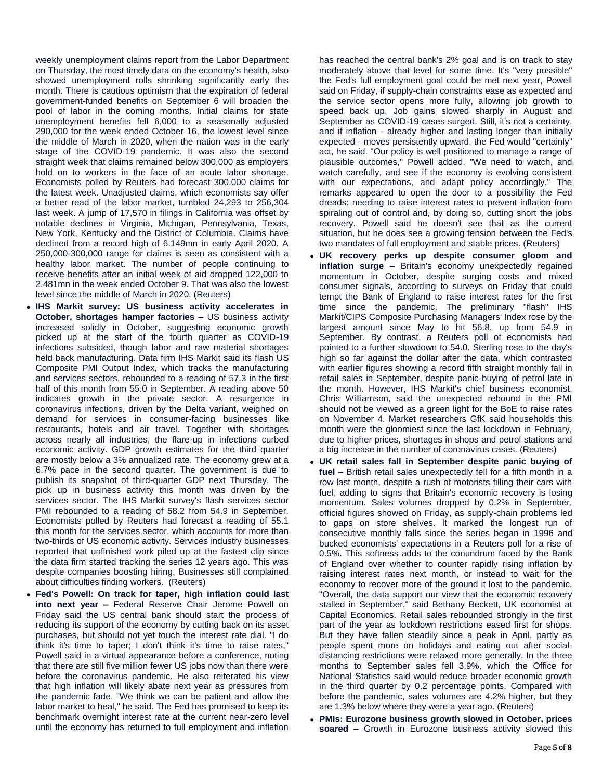weekly unemployment claims report from the Labor Department on Thursday, the most timely data on the economy's health, also showed unemployment rolls shrinking significantly early this month. There is cautious optimism that the expiration of federal government-funded benefits on September 6 will broaden the pool of labor in the coming months. Initial claims for state unemployment benefits fell 6,000 to a seasonally adjusted 290,000 for the week ended October 16, the lowest level since the middle of March in 2020, when the nation was in the early stage of the COVID-19 pandemic. It was also the second straight week that claims remained below 300,000 as employers hold on to workers in the face of an acute labor shortage. Economists polled by Reuters had forecast 300,000 claims for the latest week. Unadjusted claims, which economists say offer a better read of the labor market, tumbled 24,293 to 256,304 last week. A jump of 17,570 in filings in California was offset by notable declines in Virginia, Michigan, Pennsylvania, Texas, New York, Kentucky and the District of Columbia. Claims have declined from a record high of 6.149mn in early April 2020. A 250,000-300,000 range for claims is seen as consistent with a healthy labor market. The number of people continuing to receive benefits after an initial week of aid dropped 122,000 to 2.481mn in the week ended October 9. That was also the lowest level since the middle of March in 2020. (Reuters)

- **IHS Markit survey: US business activity accelerates in October, shortages hamper factories –** US business activity increased solidly in October, suggesting economic growth picked up at the start of the fourth quarter as COVID-19 infections subsided, though labor and raw material shortages held back manufacturing. Data firm IHS Markit said its flash US Composite PMI Output Index, which tracks the manufacturing and services sectors, rebounded to a reading of 57.3 in the first half of this month from 55.0 in September. A reading above 50 indicates growth in the private sector. A resurgence in coronavirus infections, driven by the Delta variant, weighed on demand for services in consumer-facing businesses like restaurants, hotels and air travel. Together with shortages across nearly all industries, the flare-up in infections curbed economic activity. GDP growth estimates for the third quarter are mostly below a 3% annualized rate. The economy grew at a 6.7% pace in the second quarter. The government is due to publish its snapshot of third-quarter GDP next Thursday. The pick up in business activity this month was driven by the services sector. The IHS Markit survey's flash services sector PMI rebounded to a reading of 58.2 from 54.9 in September. Economists polled by Reuters had forecast a reading of 55.1 this month for the services sector, which accounts for more than two-thirds of US economic activity. Services industry businesses reported that unfinished work piled up at the fastest clip since the data firm started tracking the series 12 years ago. This was despite companies boosting hiring. Businesses still complained about difficulties finding workers. (Reuters)
- **Fed's Powell: On track for taper, high inflation could last into next year –** Federal Reserve Chair Jerome Powell on Friday said the US central bank should start the process of reducing its support of the economy by cutting back on its asset purchases, but should not yet touch the interest rate dial. "I do think it's time to taper; I don't think it's time to raise rates," Powell said in a virtual appearance before a conference, noting that there are still five million fewer US jobs now than there were before the coronavirus pandemic. He also reiterated his view that high inflation will likely abate next year as pressures from the pandemic fade. "We think we can be patient and allow the labor market to heal," he said. The Fed has promised to keep its benchmark overnight interest rate at the current near-zero level until the economy has returned to full employment and inflation

has reached the central bank's 2% goal and is on track to stay moderately above that level for some time. It's "very possible" the Fed's full employment goal could be met next year, Powell said on Friday, if supply-chain constraints ease as expected and the service sector opens more fully, allowing job growth to speed back up. Job gains slowed sharply in August and September as COVID-19 cases surged. Still, it's not a certainty, and if inflation - already higher and lasting longer than initially expected - moves persistently upward, the Fed would "certainly" act, he said. "Our policy is well positioned to manage a range of plausible outcomes," Powell added. "We need to watch, and watch carefully, and see if the economy is evolving consistent with our expectations, and adapt policy accordingly." The remarks appeared to open the door to a possibility the Fed dreads: needing to raise interest rates to prevent inflation from spiraling out of control and, by doing so, cutting short the jobs recovery. Powell said he doesn't see that as the current situation, but he does see a growing tension between the Fed's two mandates of full employment and stable prices. (Reuters)

- **UK recovery perks up despite consumer gloom and inflation surge –** Britain's economy unexpectedly regained momentum in October, despite surging costs and mixed consumer signals, according to surveys on Friday that could tempt the Bank of England to raise interest rates for the first time since the pandemic. The preliminary "flash" IHS Markit/CIPS Composite Purchasing Managers' Index rose by the largest amount since May to hit 56.8, up from 54.9 in September. By contrast, a Reuters poll of economists had pointed to a further slowdown to 54.0. Sterling rose to the day's high so far against the dollar after the data, which contrasted with earlier figures showing a record fifth straight monthly fall in retail sales in September, despite panic-buying of petrol late in the month. However, IHS Markit's chief business economist, Chris Williamson, said the unexpected rebound in the PMI should not be viewed as a green light for the BoE to raise rates on November 4. Market researchers GfK said households this month were the gloomiest since the last lockdown in February, due to higher prices, shortages in shops and petrol stations and a big increase in the number of coronavirus cases. (Reuters)
- **UK retail sales fall in September despite panic buying of fuel –** British retail sales unexpectedly fell for a fifth month in a row last month, despite a rush of motorists filling their cars with fuel, adding to signs that Britain's economic recovery is losing momentum. Sales volumes dropped by 0.2% in September, official figures showed on Friday, as supply-chain problems led to gaps on store shelves. It marked the longest run of consecutive monthly falls since the series began in 1996 and bucked economists' expectations in a Reuters poll for a rise of 0.5%. This softness adds to the conundrum faced by the Bank of England over whether to counter rapidly rising inflation by raising interest rates next month, or instead to wait for the economy to recover more of the ground it lost to the pandemic. "Overall, the data support our view that the economic recovery stalled in September," said Bethany Beckett, UK economist at Capital Economics. Retail sales rebounded strongly in the first part of the year as lockdown restrictions eased first for shops. But they have fallen steadily since a peak in April, partly as people spent more on holidays and eating out after socialdistancing restrictions were relaxed more generally. In the three months to September sales fell 3.9%, which the Office for National Statistics said would reduce broader economic growth in the third quarter by 0.2 percentage points. Compared with before the pandemic, sales volumes are 4.2% higher, but they are 1.3% below where they were a year ago. (Reuters)
- **PMIs: Eurozone business growth slowed in October, prices soared –** Growth in Eurozone business activity slowed this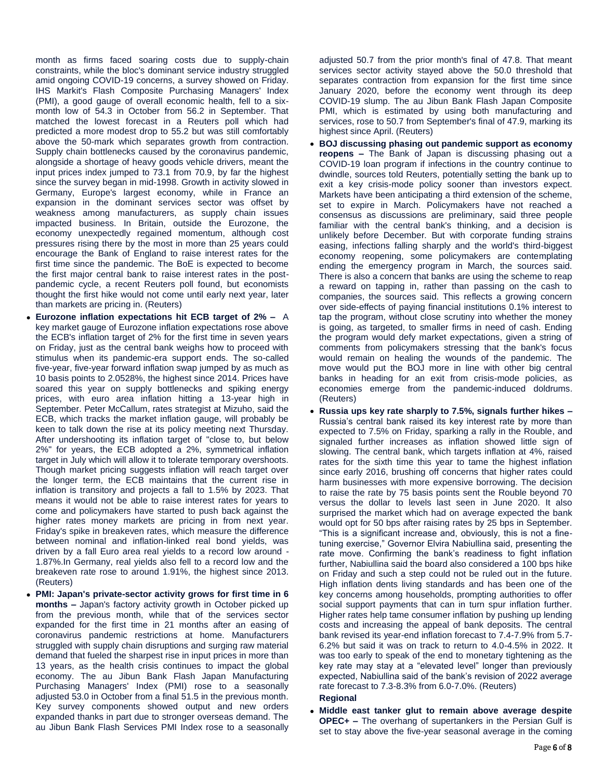month as firms faced soaring costs due to supply-chain constraints, while the bloc's dominant service industry struggled amid ongoing COVID-19 concerns, a survey showed on Friday. IHS Markit's Flash Composite Purchasing Managers' Index (PMI), a good gauge of overall economic health, fell to a sixmonth low of 54.3 in October from 56.2 in September. That matched the lowest forecast in a Reuters poll which had predicted a more modest drop to 55.2 but was still comfortably above the 50-mark which separates growth from contraction. Supply chain bottlenecks caused by the coronavirus pandemic, alongside a shortage of heavy goods vehicle drivers, meant the input prices index jumped to 73.1 from 70.9, by far the highest since the survey began in mid-1998. Growth in activity slowed in Germany, Europe's largest economy, while in France an expansion in the dominant services sector was offset by weakness among manufacturers, as supply chain issues impacted business. In Britain, outside the Eurozone, the economy unexpectedly regained momentum, although cost pressures rising there by the most in more than 25 years could encourage the Bank of England to raise interest rates for the first time since the pandemic. The BoE is expected to become the first major central bank to raise interest rates in the postpandemic cycle, a recent Reuters poll found, but economists thought the first hike would not come until early next year, later than markets are pricing in. (Reuters)

- **Eurozone inflation expectations hit ECB target of 2% –** A key market gauge of Eurozone inflation expectations rose above the ECB's inflation target of 2% for the first time in seven years on Friday, just as the central bank weighs how to proceed with stimulus when its pandemic-era support ends. The so-called five-year, five-year forward inflation swap jumped by as much as 10 basis points to 2.0528%, the highest since 2014. Prices have soared this year on supply bottlenecks and spiking energy prices, with euro area inflation hitting a 13-year high in September. Peter McCallum, rates strategist at Mizuho, said the ECB, which tracks the market inflation gauge, will probably be keen to talk down the rise at its policy meeting next Thursday. After undershooting its inflation target of "close to, but below 2%" for years, the ECB adopted a 2%, symmetrical inflation target in July which will allow it to tolerate temporary overshoots. Though market pricing suggests inflation will reach target over the longer term, the ECB maintains that the current rise in inflation is transitory and projects a fall to 1.5% by 2023. That means it would not be able to raise interest rates for years to come and policymakers have started to push back against the higher rates money markets are pricing in from next year. Friday's spike in breakeven rates, which measure the difference between nominal and inflation-linked real bond yields, was driven by a fall Euro area real yields to a record low around - 1.87%.In Germany, real yields also fell to a record low and the breakeven rate rose to around 1.91%, the highest since 2013. (Reuters)
- **PMI: Japan's private-sector activity grows for first time in 6 months –** Japan's factory activity growth in October picked up from the previous month, while that of the services sector expanded for the first time in 21 months after an easing of coronavirus pandemic restrictions at home. Manufacturers struggled with supply chain disruptions and surging raw material demand that fueled the sharpest rise in input prices in more than 13 years, as the health crisis continues to impact the global economy. The au Jibun Bank Flash Japan Manufacturing Purchasing Managers' Index (PMI) rose to a seasonally adjusted 53.0 in October from a final 51.5 in the previous month. Key survey components showed output and new orders expanded thanks in part due to stronger overseas demand. The au Jibun Bank Flash Services PMI Index rose to a seasonally

adjusted 50.7 from the prior month's final of 47.8. That meant services sector activity stayed above the 50.0 threshold that separates contraction from expansion for the first time since January 2020, before the economy went through its deep COVID-19 slump. The au Jibun Bank Flash Japan Composite PMI, which is estimated by using both manufacturing and services, rose to 50.7 from September's final of 47.9, marking its highest since April. (Reuters)

- **BOJ discussing phasing out pandemic support as economy reopens –** The Bank of Japan is discussing phasing out a COVID-19 loan program if infections in the country continue to dwindle, sources told Reuters, potentially setting the bank up to exit a key crisis-mode policy sooner than investors expect. Markets have been anticipating a third extension of the scheme, set to expire in March. Policymakers have not reached a consensus as discussions are preliminary, said three people familiar with the central bank's thinking, and a decision is unlikely before December. But with corporate funding strains easing, infections falling sharply and the world's third-biggest economy reopening, some policymakers are contemplating ending the emergency program in March, the sources said. There is also a concern that banks are using the scheme to reap a reward on tapping in, rather than passing on the cash to companies, the sources said. This reflects a growing concern over side-effects of paying financial institutions 0.1% interest to tap the program, without close scrutiny into whether the money is going, as targeted, to smaller firms in need of cash. Ending the program would defy market expectations, given a string of comments from policymakers stressing that the bank's focus would remain on healing the wounds of the pandemic. The move would put the BOJ more in line with other big central banks in heading for an exit from crisis-mode policies, as economies emerge from the pandemic-induced doldrums. (Reuters)
- **Russia ups key rate sharply to 7.5%, signals further hikes –** Russia's central bank raised its key interest rate by more than expected to 7.5% on Friday, sparking a rally in the Rouble, and signaled further increases as inflation showed little sign of slowing. The central bank, which targets inflation at 4%, raised rates for the sixth time this year to tame the highest inflation since early 2016, brushing off concerns that higher rates could harm businesses with more expensive borrowing. The decision to raise the rate by 75 basis points sent the Rouble beyond 70 versus the dollar to levels last seen in June 2020. It also surprised the market which had on average expected the bank would opt for 50 bps after raising rates by 25 bps in September. "This is a significant increase and, obviously, this is not a finetuning exercise," Governor Elvira Nabiullina said, presenting the rate move. Confirming the bank's readiness to fight inflation further, Nabiullina said the board also considered a 100 bps hike on Friday and such a step could not be ruled out in the future. High inflation dents living standards and has been one of the key concerns among households, prompting authorities to offer social support payments that can in turn spur inflation further. Higher rates help tame consumer inflation by pushing up lending costs and increasing the appeal of bank deposits. The central bank revised its year-end inflation forecast to 7.4-7.9% from 5.7- 6.2% but said it was on track to return to 4.0-4.5% in 2022. It was too early to speak of the end to monetary tightening as the key rate may stay at a "elevated level" longer than previously expected, Nabiullina said of the bank's revision of 2022 average rate forecast to 7.3-8.3% from 6.0-7.0%. (Reuters) **Regional**

## **Middle east tanker glut to remain above average despite OPEC+ –** The overhang of supertankers in the Persian Gulf is set to stay above the five-year seasonal average in the coming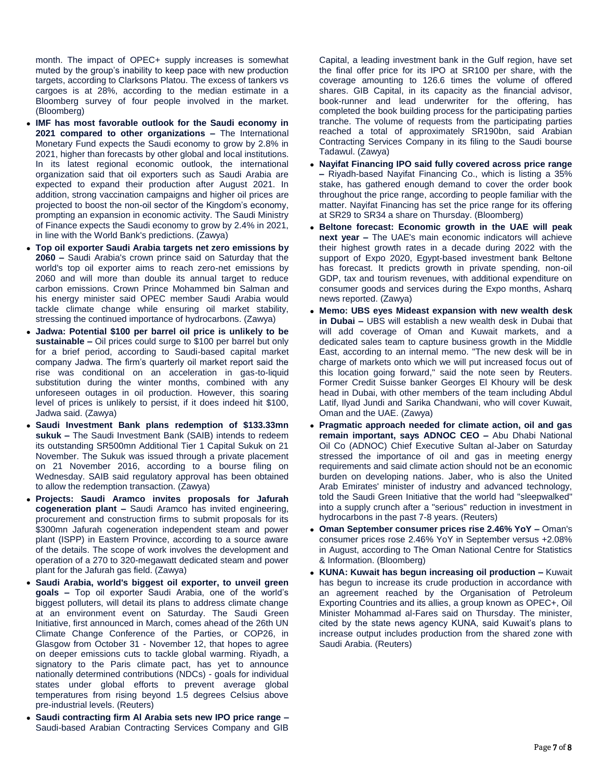month. The impact of OPEC+ supply increases is somewhat muted by the group's inability to keep pace with new production targets, according to Clarksons Platou. The excess of tankers vs cargoes is at 28%, according to the median estimate in a Bloomberg survey of four people involved in the market. (Bloomberg)

- **IMF has most favorable outlook for the Saudi economy in 2021 compared to other organizations –** The International Monetary Fund expects the Saudi economy to grow by 2.8% in 2021, higher than forecasts by other global and local institutions. In its latest regional economic outlook, the international organization said that oil exporters such as Saudi Arabia are expected to expand their production after August 2021. In addition, strong vaccination campaigns and higher oil prices are projected to boost the non-oil sector of the Kingdom's economy, prompting an expansion in economic activity. The Saudi Ministry of Finance expects the Saudi economy to grow by 2.4% in 2021, in line with the World Bank's predictions. (Zawya)
- **Top oil exporter Saudi Arabia targets net zero emissions by 2060 –** Saudi Arabia's crown prince said on Saturday that the world's top oil exporter aims to reach zero-net emissions by 2060 and will more than double its annual target to reduce carbon emissions. Crown Prince Mohammed bin Salman and his energy minister said OPEC member Saudi Arabia would tackle climate change while ensuring oil market stability, stressing the continued importance of hydrocarbons. (Zawya)
- **Jadwa: Potential \$100 per barrel oil price is unlikely to be sustainable –** Oil prices could surge to \$100 per barrel but only for a brief period, according to Saudi-based capital market company Jadwa. The firm's quarterly oil market report said the rise was conditional on an acceleration in gas-to-liquid substitution during the winter months, combined with any unforeseen outages in oil production. However, this soaring level of prices is unlikely to persist, if it does indeed hit \$100, Jadwa said. (Zawya)
- **Saudi Investment Bank plans redemption of \$133.33mn sukuk –** The Saudi Investment Bank (SAIB) intends to redeem its outstanding SR500mn Additional Tier 1 Capital Sukuk on 21 November. The Sukuk was issued through a private placement on 21 November 2016, according to a bourse filing on Wednesday. SAIB said regulatory approval has been obtained to allow the redemption transaction. (Zawya)
- **Projects: Saudi Aramco invites proposals for Jafurah cogeneration plant –** Saudi Aramco has invited engineering, procurement and construction firms to submit proposals for its \$300mn Jafurah cogeneration independent steam and power plant (ISPP) in Eastern Province, according to a source aware of the details. The scope of work involves the development and operation of a 270 to 320-megawatt dedicated steam and power plant for the Jafurah gas field. (Zawya)
- **Saudi Arabia, world's biggest oil exporter, to unveil green goals –** Top oil exporter Saudi Arabia, one of the world's biggest polluters, will detail its plans to address climate change at an environment event on Saturday. The Saudi Green Initiative, first announced in March, comes ahead of the 26th UN Climate Change Conference of the Parties, or COP26, in Glasgow from October 31 - November 12, that hopes to agree on deeper emissions cuts to tackle global warming. Riyadh, a signatory to the Paris climate pact, has yet to announce nationally determined contributions (NDCs) - goals for individual states under global efforts to prevent average global temperatures from rising beyond 1.5 degrees Celsius above pre-industrial levels. (Reuters)
- **Saudi contracting firm Al Arabia sets new IPO price range –** Saudi-based Arabian Contracting Services Company and GIB

Capital, a leading investment bank in the Gulf region, have set the final offer price for its IPO at SR100 per share, with the coverage amounting to 126.6 times the volume of offered shares. GIB Capital, in its capacity as the financial advisor, book-runner and lead underwriter for the offering, has completed the book building process for the participating parties tranche. The volume of requests from the participating parties reached a total of approximately SR190bn, said Arabian Contracting Services Company in its filing to the Saudi bourse Tadawul. (Zawya)

- **Nayifat Financing IPO said fully covered across price range –** Riyadh-based Nayifat Financing Co., which is listing a 35% stake, has gathered enough demand to cover the order book throughout the price range, according to people familiar with the matter. Nayifat Financing has set the price range for its offering at SR29 to SR34 a share on Thursday. (Bloomberg)
- **Beltone forecast: Economic growth in the UAE will peak next year –** The UAE's main economic indicators will achieve their highest growth rates in a decade during 2022 with the support of Expo 2020, Egypt-based investment bank Beltone has forecast. It predicts growth in private spending, non-oil GDP, tax and tourism revenues, with additional expenditure on consumer goods and services during the Expo months, Asharq news reported. (Zawya)
- **Memo: UBS eyes Mideast expansion with new wealth desk in Dubai –** UBS will establish a new wealth desk in Dubai that will add coverage of Oman and Kuwait markets, and a dedicated sales team to capture business growth in the Middle East, according to an internal memo. "The new desk will be in charge of markets onto which we will put increased focus out of this location going forward," said the note seen by Reuters. Former Credit Suisse banker Georges El Khoury will be desk head in Dubai, with other members of the team including Abdul Latif, Ilyad Jundi and Sarika Chandwani, who will cover Kuwait, Oman and the UAE. (Zawya)
- **Pragmatic approach needed for climate action, oil and gas remain important, says ADNOC CEO –** Abu Dhabi National Oil Co (ADNOC) Chief Executive Sultan al-Jaber on Saturday stressed the importance of oil and gas in meeting energy requirements and said climate action should not be an economic burden on developing nations. Jaber, who is also the United Arab Emirates' minister of industry and advanced technology, told the Saudi Green Initiative that the world had "sleepwalked" into a supply crunch after a "serious" reduction in investment in hydrocarbons in the past 7-8 years. (Reuters)
- **Oman September consumer prices rise 2.46% YoY –** Oman's consumer prices rose 2.46% YoY in September versus +2.08% in August, according to The Oman National Centre for Statistics & Information. (Bloomberg)
- **KUNA: Kuwait has begun increasing oil production –** Kuwait has begun to increase its crude production in accordance with an agreement reached by the Organisation of Petroleum Exporting Countries and its allies, a group known as OPEC+, Oil Minister Mohammad al-Fares said on Thursday. The minister, cited by the state news agency KUNA, said Kuwait's plans to increase output includes production from the shared zone with Saudi Arabia. (Reuters)